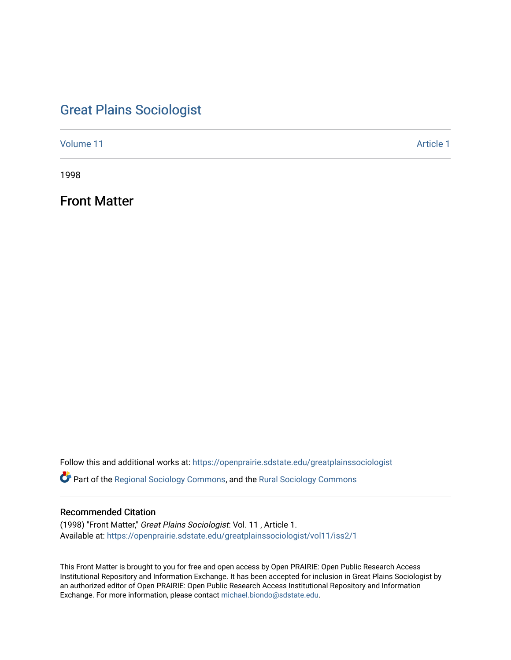# [Great Plains Sociologist](https://openprairie.sdstate.edu/greatplainssociologist)

[Volume 11](https://openprairie.sdstate.edu/greatplainssociologist/vol11) [Article 1](https://openprairie.sdstate.edu/greatplainssociologist/vol11/iss2/1) Article 1 Article 1 Article 1 Article 1 Article 1 Article 1 Article 1 Article 1

1998

Front Matter

Follow this and additional works at: [https://openprairie.sdstate.edu/greatplainssociologist](https://openprairie.sdstate.edu/greatplainssociologist?utm_source=openprairie.sdstate.edu%2Fgreatplainssociologist%2Fvol11%2Fiss2%2F1&utm_medium=PDF&utm_campaign=PDFCoverPages) 

Part of the [Regional Sociology Commons](http://network.bepress.com/hgg/discipline/427?utm_source=openprairie.sdstate.edu%2Fgreatplainssociologist%2Fvol11%2Fiss2%2F1&utm_medium=PDF&utm_campaign=PDFCoverPages), and the [Rural Sociology Commons](http://network.bepress.com/hgg/discipline/428?utm_source=openprairie.sdstate.edu%2Fgreatplainssociologist%2Fvol11%2Fiss2%2F1&utm_medium=PDF&utm_campaign=PDFCoverPages) 

#### Recommended Citation

(1998) "Front Matter," Great Plains Sociologist: Vol. 11 , Article 1. Available at: [https://openprairie.sdstate.edu/greatplainssociologist/vol11/iss2/1](https://openprairie.sdstate.edu/greatplainssociologist/vol11/iss2/1?utm_source=openprairie.sdstate.edu%2Fgreatplainssociologist%2Fvol11%2Fiss2%2F1&utm_medium=PDF&utm_campaign=PDFCoverPages)

This Front Matter is brought to you for free and open access by Open PRAIRIE: Open Public Research Access Institutional Repository and Information Exchange. It has been accepted for inclusion in Great Plains Sociologist by an authorized editor of Open PRAIRIE: Open Public Research Access Institutional Repository and Information Exchange. For more information, please contact [michael.biondo@sdstate.edu.](mailto:michael.biondo@sdstate.edu)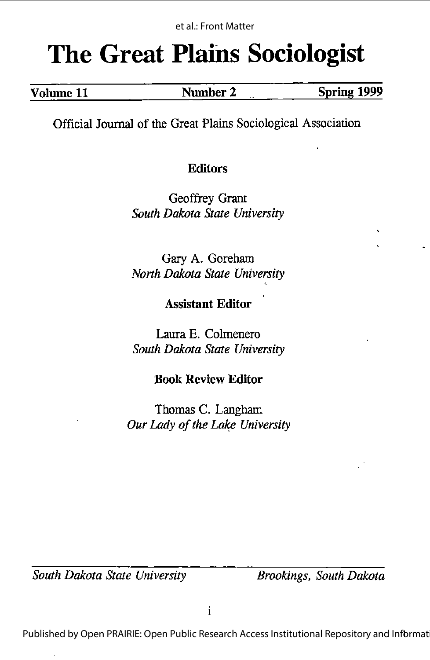# The Great Plains Sociologist

| Volume 11 | Number <sup>~</sup> | Spring 1999 |
|-----------|---------------------|-------------|
|           |                     |             |

Official Journal of the Great Plains Sociological Association

#### Editors

Geoffrey Grant South Dakota State University

Gary A. Goreham North Dakota State University

## Assistant Editor

•V

Laura E. Colmenero South Dakota State University

## Book Review Editor

Thomas C. Langham Our Lady of the Lake University

South Dakota State University Brookings, South Dakota

Published by Open PRAIRIE: Open Public Research Access Institutional Repository and Informat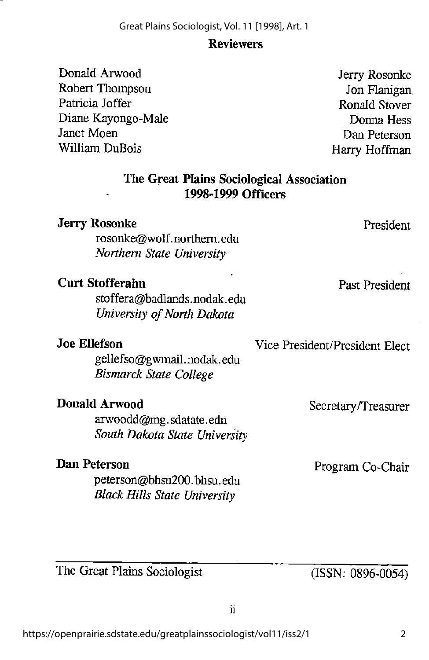#### Reviewers

Donald Arwood Robert Thompson Patricia Joffer Diane Kayongo-Male Janet Moen William DuBois

Jerry Rosonke Jon Flanigan Ronald Stover Donna Hess Dan Peterson Harry Hoffman

#### The Great Plains Sociological Association 1998-1999 Officers

| <b>Jerry Rosonke</b><br>rosonke@wolf.northern.edu<br>Northern State University      | President                      |
|-------------------------------------------------------------------------------------|--------------------------------|
| <b>Curt Stofferahn</b><br>stoffera@badlands.nodak.edu<br>University of North Dakota | Past President                 |
| Joe Ellefson<br>gellefso@gwmail.nodak.edu<br><b>Bismarck State College</b>          | Vice President/President Elect |
| Donald Arwood<br>arwoodd@mg.sdatate.edu<br>South Dakota State University            | Secretary/Treasurer            |
| Dan Peterson<br>peterson@bhsu200.bhsu.edu                                           | Program Co-Chair               |

The Great Plains Sociologist

(ISSN; 0896-0054)

Black Hills State University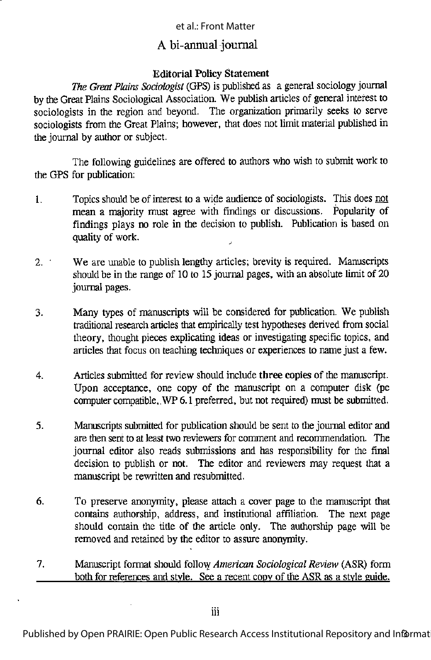#### et al.: Front Matter

#### A bi-annual journal

#### Editorial Policy Statement

The Great Plains Sociologist (GPS) is published as a general sociology journal bythe Great Plains Sociological Association. We publish articles of general interest to sociologists in the region and beyond. The organization primarily seeks to serve sociologists from the Great Plains; however, that does not limit material published in the journal by author or subject.

The following guidelines are offered to authors who wish to submit work to the GPS for publication:

- 1. Topics should be of interest to a wide audience of sociologists. This does not mean a majority must agree with findings or discussions. Popularity of findings plays no role in the decision to publish. Publication is based on quality of work.
- 2. We are unable to publish lengthy articles; brevity is required. Manuscripts should be in the range of 10 to 15 journal pages, with an absolute limit of 20 journal pages.
- 3. Many types of manuscripts will be considered for publication. We publish traditional researcharticles that empirically test hypotheses derived from social theory, thought pieces explicating ideas or investigating specific topics, and articles that focus on teaching techniques or experiences to name just a few.
- 4. Articles submitted for review should include three copies of the manuscript. Upon acceptance, one copy of the manuscript on a computer disk (pc computer compatible, WP 6.1 preferred, but not required) must be submitted.
- 5. Manuscripts submitted for publication should be sent to the journal editor and are then sent to at least two reviewers for comment and recommendation. The journal editor also reads submissions and has responsibility for the final decision to publish or not. The editor and reviewers may request that a manuscript be rewritten and resubmitted.
- 6. To preserve anonymity, please attach a cover page to the manuscript that contains authorship, address, and institutional affiliation. The next page should contain the title of the article only. The authorship page will be removed and retained by the editor to assure anonymity.
- 7. Manuscript format should follow American Sociological Review (ASR) form both for references and stvle. See a recent conv of the ASR as a stvle guide.

Published by Open PRAIRIE: Open Public Research Access Institutional Repository and Informat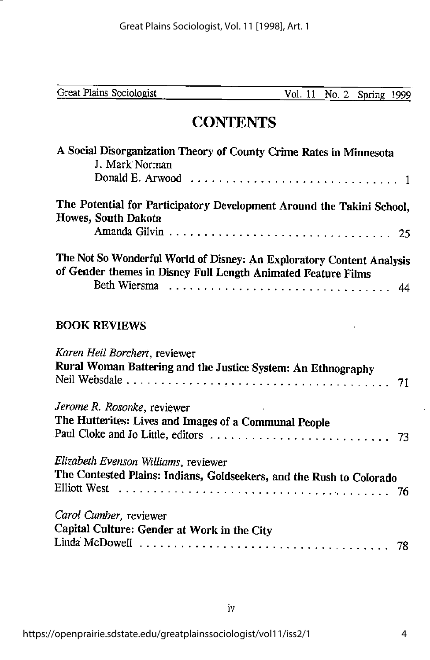Vol. 11 No. 2 Spring 1999

# **CONTENTS**

| A Social Disorganization Theory of County Crime Rates in Minnesota                                                                     |
|----------------------------------------------------------------------------------------------------------------------------------------|
| J. Mark Norman                                                                                                                         |
| The Potential for Participatory Development Around the Takini School,<br>Howes, South Dakota                                           |
| The Not So Wonderful World of Disney: An Exploratory Content Analysis<br>of Gender themes in Disney Full Length Animated Feature Films |

#### BOOK REVIEWS

| Karen Heil Borchert, reviewer                                        |  |
|----------------------------------------------------------------------|--|
| Rural Woman Battering and the Justice System: An Ethnography         |  |
|                                                                      |  |
| Jerome R. Rosonke, reviewer                                          |  |
| The Hutterites: Lives and Images of a Communal People                |  |
|                                                                      |  |
| Elizabeth Evenson Williams, reviewer                                 |  |
| The Contested Plains: Indians, Goldseekers, and the Rush to Colorado |  |
|                                                                      |  |
| Carol Cumber, reviewer                                               |  |
| Capital Culture: Gender at Work in the City                          |  |
|                                                                      |  |
|                                                                      |  |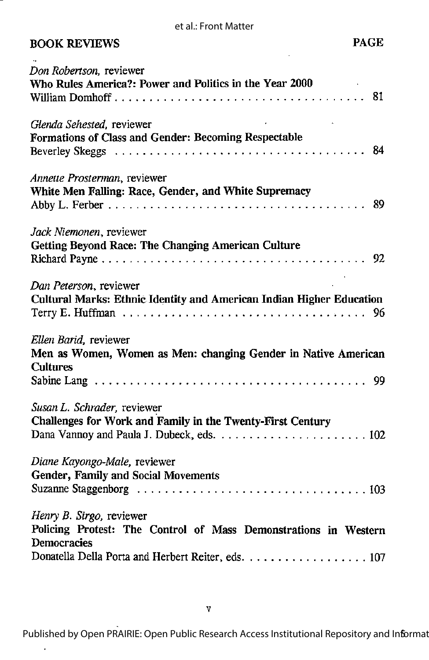et al.: Front Matter

| <b>BOOK REVIEWS</b> | <b>PAGE</b> |
|---------------------|-------------|
|---------------------|-------------|

| Don Robertson, reviewer<br>Who Rules America?: Power and Politics in the Year 2000                         |
|------------------------------------------------------------------------------------------------------------|
|                                                                                                            |
| Glenda Sehested, reviewer                                                                                  |
| Formations of Class and Gender: Becoming Respectable                                                       |
| Annette Prosterman, reviewer                                                                               |
| White Men Falling: Race, Gender, and White Supremacy                                                       |
| Jack Niemonen, reviewer                                                                                    |
| <b>Getting Beyond Race: The Changing American Culture</b>                                                  |
| Dan Peterson, reviewer<br>Cultural Marks: Ethnic Identity and American Indian Higher Education             |
| Ellen Barid, reviewer<br>Men as Women, Women as Men: changing Gender in Native American<br><b>Cultures</b> |
|                                                                                                            |
| Susan L. Schrader, reviewer<br>Challenges for Work and Family in the Twenty-First Century                  |
| Diane Kayongo-Male, reviewer<br>Gender, Family and Social Movements                                        |
|                                                                                                            |
| Henry B. Sirgo, reviewer<br>Policing Protest: The Control of Mass Demonstrations in Western                |
| <b>Democracies</b>                                                                                         |
| Donatella Della Porta and Herbert Reiter, eds. 107                                                         |

l,

Published by Open PRAIRIE: Open Public Research Access Institutional Repository and Informat